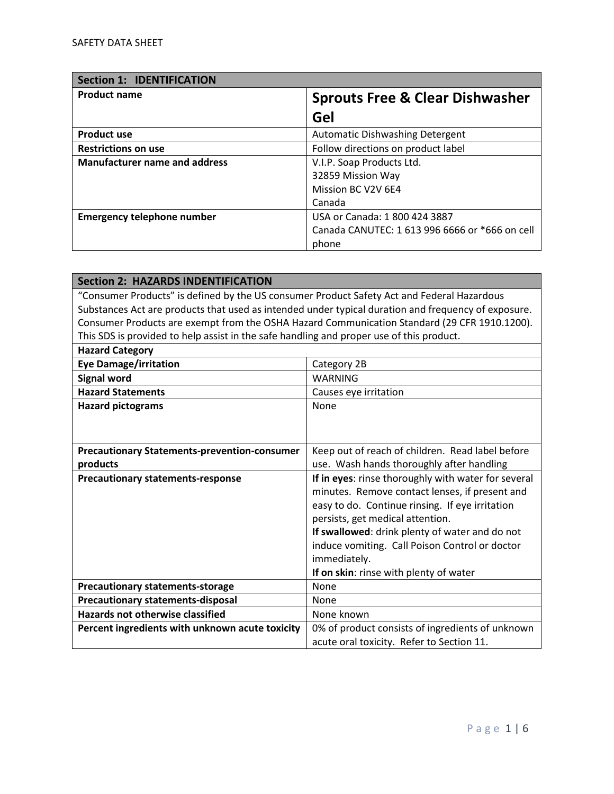| <b>Section 1: IDENTIFICATION</b>     |                                                |
|--------------------------------------|------------------------------------------------|
| <b>Product name</b>                  | <b>Sprouts Free &amp; Clear Dishwasher</b>     |
|                                      | Gel                                            |
| <b>Product use</b>                   | Automatic Dishwashing Detergent                |
| <b>Restrictions on use</b>           | Follow directions on product label             |
| <b>Manufacturer name and address</b> | V.I.P. Soap Products Ltd.                      |
|                                      | 32859 Mission Way                              |
|                                      | Mission BC V2V 6E4                             |
|                                      | Canada                                         |
| <b>Emergency telephone number</b>    | USA or Canada: 1 800 424 3887                  |
|                                      | Canada CANUTEC: 1 613 996 6666 or *666 on cell |
|                                      | phone                                          |

| <b>Section 2: HAZARDS INDENTIFICATION</b>                                                  |                                                                                                     |
|--------------------------------------------------------------------------------------------|-----------------------------------------------------------------------------------------------------|
| "Consumer Products" is defined by the US consumer Product Safety Act and Federal Hazardous |                                                                                                     |
|                                                                                            | Substances Act are products that used as intended under typical duration and frequency of exposure. |
|                                                                                            | Consumer Products are exempt from the OSHA Hazard Communication Standard (29 CFR 1910.1200).        |
| This SDS is provided to help assist in the safe handling and proper use of this product.   |                                                                                                     |
| <b>Hazard Category</b>                                                                     |                                                                                                     |
| <b>Eye Damage/irritation</b>                                                               | Category 2B                                                                                         |
| <b>Signal word</b>                                                                         | <b>WARNING</b>                                                                                      |
| <b>Hazard Statements</b>                                                                   | Causes eye irritation                                                                               |
| <b>Hazard pictograms</b>                                                                   | None                                                                                                |
|                                                                                            |                                                                                                     |
|                                                                                            |                                                                                                     |
| <b>Precautionary Statements-prevention-consumer</b>                                        | Keep out of reach of children. Read label before                                                    |
| products                                                                                   | use. Wash hands thoroughly after handling                                                           |
| <b>Precautionary statements-response</b>                                                   | If in eyes: rinse thoroughly with water for several                                                 |
|                                                                                            | minutes. Remove contact lenses, if present and                                                      |
|                                                                                            | easy to do. Continue rinsing. If eye irritation                                                     |
|                                                                                            | persists, get medical attention.                                                                    |
|                                                                                            | If swallowed: drink plenty of water and do not                                                      |
|                                                                                            | induce vomiting. Call Poison Control or doctor                                                      |
|                                                                                            | immediately.                                                                                        |
| If on skin: rinse with plenty of water                                                     |                                                                                                     |
| <b>Precautionary statements-storage</b>                                                    | <b>None</b>                                                                                         |
| <b>Precautionary statements-disposal</b>                                                   | None                                                                                                |
| <b>Hazards not otherwise classified</b>                                                    | None known                                                                                          |
| Percent ingredients with unknown acute toxicity                                            | 0% of product consists of ingredients of unknown                                                    |
|                                                                                            | acute oral toxicity. Refer to Section 11.                                                           |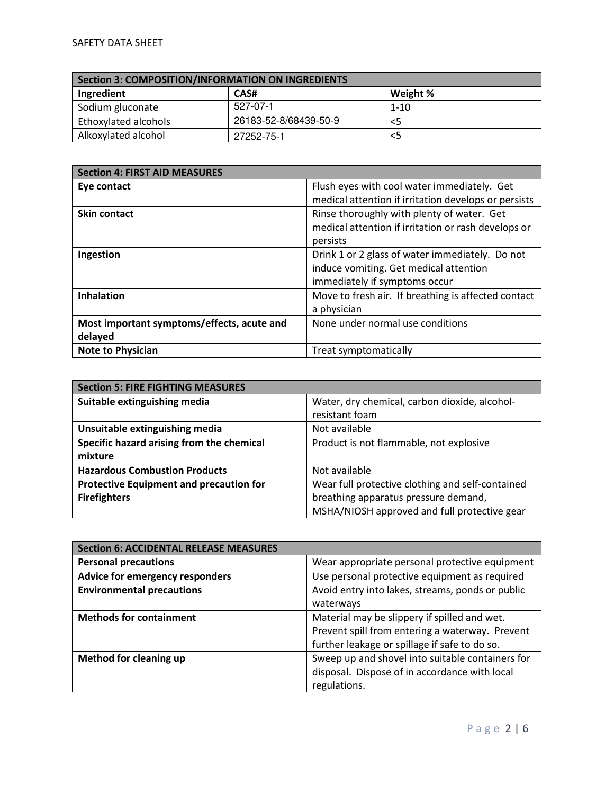| Section 3: COMPOSITION/INFORMATION ON INGREDIENTS |                       |          |
|---------------------------------------------------|-----------------------|----------|
| Ingredient                                        | CAS#                  | Weight % |
| Sodium gluconate                                  | 527-07-1              | $1 - 10$ |
| Ethoxylated alcohols                              | 26183-52-8/68439-50-9 | <5       |
| Alkoxylated alcohol                               | 27252-75-1            | <5       |

| <b>Section 4: FIRST AID MEASURES</b>       |                                                      |
|--------------------------------------------|------------------------------------------------------|
| Eye contact                                | Flush eyes with cool water immediately. Get          |
|                                            | medical attention if irritation develops or persists |
| <b>Skin contact</b>                        | Rinse thoroughly with plenty of water. Get           |
|                                            | medical attention if irritation or rash develops or  |
|                                            | persists                                             |
| Ingestion                                  | Drink 1 or 2 glass of water immediately. Do not      |
|                                            | induce vomiting. Get medical attention               |
|                                            | immediately if symptoms occur                        |
| <b>Inhalation</b>                          | Move to fresh air. If breathing is affected contact  |
|                                            | a physician                                          |
| Most important symptoms/effects, acute and | None under normal use conditions                     |
| delayed                                    |                                                      |
| <b>Note to Physician</b>                   | Treat symptomatically                                |

| <b>Section 5: FIRE FIGHTING MEASURES</b>       |                                                  |
|------------------------------------------------|--------------------------------------------------|
| Suitable extinguishing media                   | Water, dry chemical, carbon dioxide, alcohol-    |
|                                                | resistant foam                                   |
| Unsuitable extinguishing media                 | Not available                                    |
| Specific hazard arising from the chemical      | Product is not flammable, not explosive          |
| mixture                                        |                                                  |
| <b>Hazardous Combustion Products</b>           | Not available                                    |
| <b>Protective Equipment and precaution for</b> | Wear full protective clothing and self-contained |
| <b>Firefighters</b>                            | breathing apparatus pressure demand,             |
|                                                | MSHA/NIOSH approved and full protective gear     |

| <b>Section 6: ACCIDENTAL RELEASE MEASURES</b> |                                                  |
|-----------------------------------------------|--------------------------------------------------|
| <b>Personal precautions</b>                   | Wear appropriate personal protective equipment   |
| Advice for emergency responders               | Use personal protective equipment as required    |
| <b>Environmental precautions</b>              | Avoid entry into lakes, streams, ponds or public |
|                                               | waterways                                        |
| <b>Methods for containment</b>                | Material may be slippery if spilled and wet.     |
|                                               | Prevent spill from entering a waterway. Prevent  |
|                                               | further leakage or spillage if safe to do so.    |
| <b>Method for cleaning up</b>                 | Sweep up and shovel into suitable containers for |
|                                               | disposal. Dispose of in accordance with local    |
|                                               | regulations.                                     |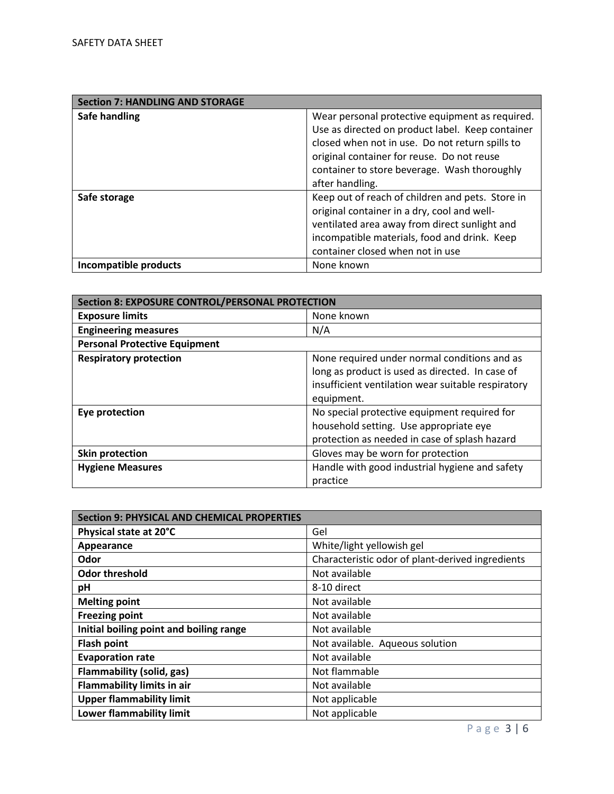| <b>Section 7: HANDLING AND STORAGE</b> |                                                  |
|----------------------------------------|--------------------------------------------------|
| Safe handling                          | Wear personal protective equipment as required.  |
|                                        | Use as directed on product label. Keep container |
|                                        | closed when not in use. Do not return spills to  |
|                                        | original container for reuse. Do not reuse       |
|                                        | container to store beverage. Wash thoroughly     |
|                                        | after handling.                                  |
| Safe storage                           | Keep out of reach of children and pets. Store in |
|                                        | original container in a dry, cool and well-      |
|                                        | ventilated area away from direct sunlight and    |
|                                        | incompatible materials, food and drink. Keep     |
|                                        | container closed when not in use                 |
| Incompatible products                  | None known                                       |

| <b>Section 8: EXPOSURE CONTROL/PERSONAL PROTECTION</b> |                                                    |
|--------------------------------------------------------|----------------------------------------------------|
| <b>Exposure limits</b>                                 | None known                                         |
| <b>Engineering measures</b>                            | N/A                                                |
| <b>Personal Protective Equipment</b>                   |                                                    |
| <b>Respiratory protection</b>                          | None required under normal conditions and as       |
|                                                        | long as product is used as directed. In case of    |
|                                                        | insufficient ventilation wear suitable respiratory |
|                                                        | equipment.                                         |
| Eye protection                                         | No special protective equipment required for       |
|                                                        | household setting. Use appropriate eye             |
|                                                        | protection as needed in case of splash hazard      |
| Skin protection                                        | Gloves may be worn for protection                  |
| <b>Hygiene Measures</b>                                | Handle with good industrial hygiene and safety     |
|                                                        | practice                                           |

| <b>Section 9: PHYSICAL AND CHEMICAL PROPERTIES</b> |                                                  |
|----------------------------------------------------|--------------------------------------------------|
| Physical state at 20°C                             | Gel                                              |
| Appearance                                         | White/light yellowish gel                        |
| Odor                                               | Characteristic odor of plant-derived ingredients |
| <b>Odor threshold</b>                              | Not available                                    |
| рH                                                 | 8-10 direct                                      |
| <b>Melting point</b>                               | Not available                                    |
| <b>Freezing point</b>                              | Not available                                    |
| Initial boiling point and boiling range            | Not available                                    |
| <b>Flash point</b>                                 | Not available. Aqueous solution                  |
| <b>Evaporation rate</b>                            | Not available                                    |
| Flammability (solid, gas)                          | Not flammable                                    |
| <b>Flammability limits in air</b>                  | Not available                                    |
| <b>Upper flammability limit</b>                    | Not applicable                                   |
| <b>Lower flammability limit</b>                    | Not applicable                                   |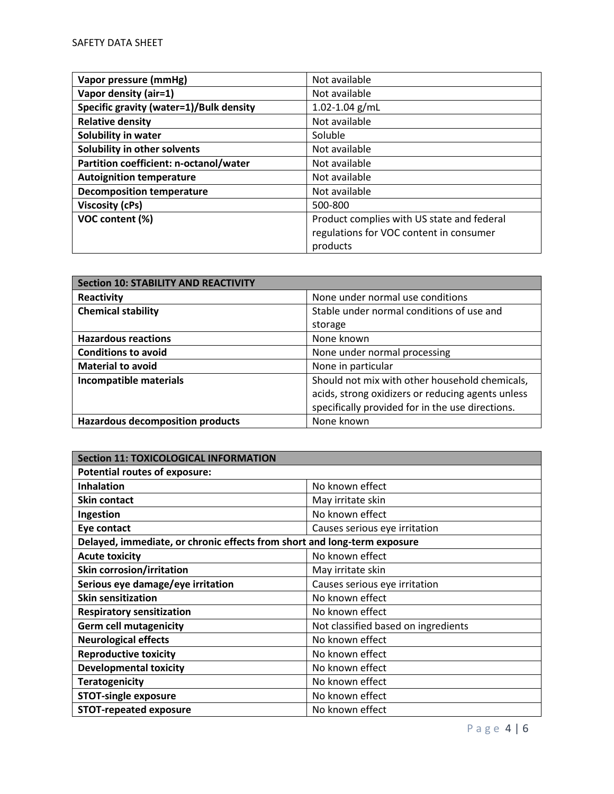| Vapor pressure (mmHg)                   | Not available                              |
|-----------------------------------------|--------------------------------------------|
| Vapor density (air=1)                   | Not available                              |
| Specific gravity (water=1)/Bulk density | $1.02 - 1.04$ g/mL                         |
| <b>Relative density</b>                 | Not available                              |
| Solubility in water                     | Soluble                                    |
| Solubility in other solvents            | Not available                              |
| Partition coefficient: n-octanol/water  | Not available                              |
| <b>Autoignition temperature</b>         | Not available                              |
| <b>Decomposition temperature</b>        | Not available                              |
| Viscosity (cPs)                         | 500-800                                    |
| VOC content (%)                         | Product complies with US state and federal |
|                                         | regulations for VOC content in consumer    |
|                                         | products                                   |

| <b>Section 10: STABILITY AND REACTIVITY</b> |                                                   |
|---------------------------------------------|---------------------------------------------------|
| Reactivity                                  | None under normal use conditions                  |
| <b>Chemical stability</b>                   | Stable under normal conditions of use and         |
|                                             | storage                                           |
| <b>Hazardous reactions</b>                  | None known                                        |
| <b>Conditions to avoid</b>                  | None under normal processing                      |
| <b>Material to avoid</b>                    | None in particular                                |
| Incompatible materials                      | Should not mix with other household chemicals,    |
|                                             | acids, strong oxidizers or reducing agents unless |
|                                             | specifically provided for in the use directions.  |
| <b>Hazardous decomposition products</b>     | None known                                        |

| <b>Section 11: TOXICOLOGICAL INFORMATION</b>                             |                                     |
|--------------------------------------------------------------------------|-------------------------------------|
| <b>Potential routes of exposure:</b>                                     |                                     |
| <b>Inhalation</b>                                                        | No known effect                     |
| <b>Skin contact</b>                                                      | May irritate skin                   |
| Ingestion                                                                | No known effect                     |
| Eye contact                                                              | Causes serious eye irritation       |
| Delayed, immediate, or chronic effects from short and long-term exposure |                                     |
| <b>Acute toxicity</b>                                                    | No known effect                     |
| <b>Skin corrosion/irritation</b>                                         | May irritate skin                   |
| Serious eye damage/eye irritation                                        | Causes serious eye irritation       |
| <b>Skin sensitization</b>                                                | No known effect                     |
| <b>Respiratory sensitization</b>                                         | No known effect                     |
| <b>Germ cell mutagenicity</b>                                            | Not classified based on ingredients |
| <b>Neurological effects</b>                                              | No known effect                     |
| <b>Reproductive toxicity</b>                                             | No known effect                     |
| <b>Developmental toxicity</b>                                            | No known effect                     |
| <b>Teratogenicity</b>                                                    | No known effect                     |
| <b>STOT-single exposure</b>                                              | No known effect                     |
| <b>STOT-repeated exposure</b>                                            | No known effect                     |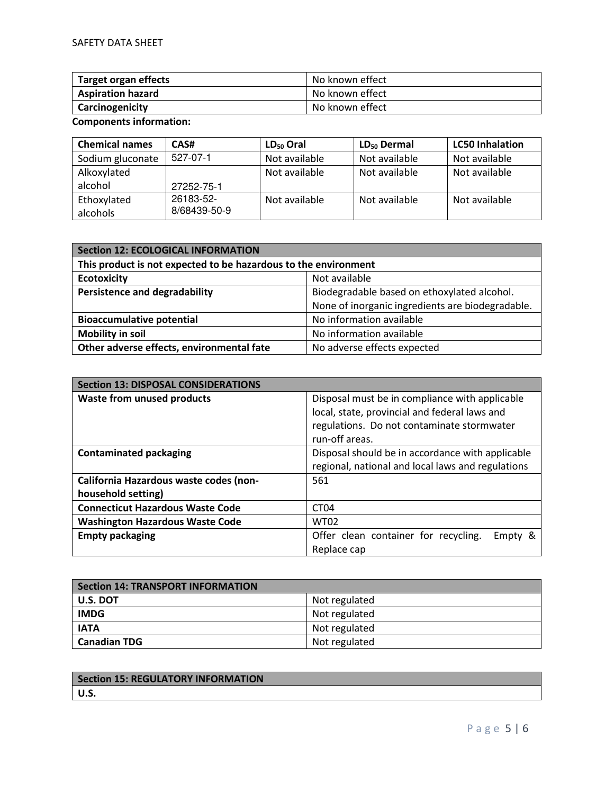| <b>Target organ effects</b> | No known effect |
|-----------------------------|-----------------|
| <b>Aspiration hazard</b>    | No known effect |
| Carcinogenicity             | No known effect |

**Components information:** 

| <b>Chemical names</b> | CAS#         | $LD_{50}$ Oral | $LD_{50}$ Dermal | <b>LC50 Inhalation</b> |
|-----------------------|--------------|----------------|------------------|------------------------|
| Sodium gluconate      | 527-07-1     | Not available  | Not available    | Not available          |
| Alkoxylated           |              | Not available  | Not available    | Not available          |
| alcohol               | 27252-75-1   |                |                  |                        |
| Ethoxylated           | 26183-52-    | Not available  | Not available    | Not available          |
| alcohols              | 8/68439-50-9 |                |                  |                        |

| <b>Section 12: ECOLOGICAL INFORMATION</b>                       |                                                  |  |
|-----------------------------------------------------------------|--------------------------------------------------|--|
| This product is not expected to be hazardous to the environment |                                                  |  |
| <b>Ecotoxicity</b>                                              | Not available                                    |  |
| <b>Persistence and degradability</b>                            | Biodegradable based on ethoxylated alcohol.      |  |
|                                                                 | None of inorganic ingredients are biodegradable. |  |
| <b>Bioaccumulative potential</b>                                | No information available                         |  |
| <b>Mobility in soil</b>                                         | No information available                         |  |
| Other adverse effects, environmental fate                       | No adverse effects expected                      |  |

| <b>Section 13: DISPOSAL CONSIDERATIONS</b>                   |                                                                                                                                                                 |  |
|--------------------------------------------------------------|-----------------------------------------------------------------------------------------------------------------------------------------------------------------|--|
| <b>Waste from unused products</b>                            | Disposal must be in compliance with applicable<br>local, state, provincial and federal laws and<br>regulations. Do not contaminate stormwater<br>run-off areas. |  |
| <b>Contaminated packaging</b>                                | Disposal should be in accordance with applicable<br>regional, national and local laws and regulations                                                           |  |
| California Hazardous waste codes (non-<br>household setting) | 561                                                                                                                                                             |  |
| <b>Connecticut Hazardous Waste Code</b>                      | CT <sub>04</sub>                                                                                                                                                |  |
| <b>Washington Hazardous Waste Code</b>                       | <b>WT02</b>                                                                                                                                                     |  |
| <b>Empty packaging</b>                                       | Offer clean container for recycling.<br>Empty &<br>Replace cap                                                                                                  |  |

| <b>Section 14: TRANSPORT INFORMATION</b> |               |
|------------------------------------------|---------------|
| U.S. DOT                                 | Not regulated |
| <b>IMDG</b>                              | Not regulated |
| <b>IATA</b>                              | Not regulated |
| <b>Canadian TDG</b>                      | Not regulated |

| <b>Section 15: REGULATORY INFORMATION</b> |  |
|-------------------------------------------|--|
| l U.S.                                    |  |